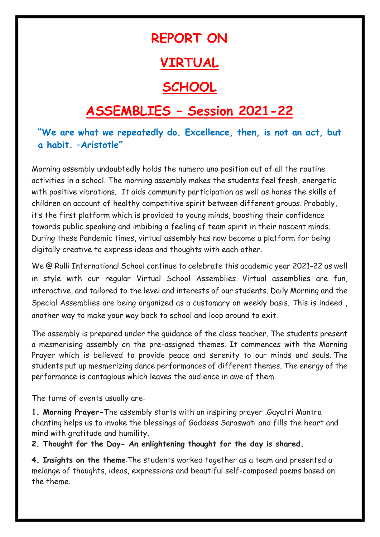### **REPORT ON**

## **VIRTUAL**

## **SCHOOL**

# **ASSEMBLIES – Session 2021-22**

### **"We are what we repeatedly do. Excellence, then, is not an act, but a habit. –Aristotle"**

Morning assembly undoubtedly holds the numero uno position out of all the routine activities in a school. The morning assembly makes the students feel fresh, energetic with positive vibrations. It aids community participation as well as hones the skills of children on account of healthy competitive spirit between different groups. Probably, it's the first platform which is provided to young minds, boosting their confidence towards public speaking and imbibing a feeling of team spirit in their nascent minds. During these Pandemic times, virtual assembly has now become a platform for being digitally creative to express ideas and thoughts with each other.

We @ Ralli International School continue to celebrate this academic year 2021-22 as well in style with our regular Virtual School Assemblies. Virtual assemblies are fun, interactive, and tailored to the level and interests of our students. Daily Morning and the Special Assemblies are being organized as a customary on weekly basis. This is indeed , another way to make your way back to school and loop around to exit.

The assembly is prepared under the guidance of the class teacher. The students present a mesmerising assembly on the pre-assigned themes. It commences with the Morning Prayer which is believed to provide peace and serenity to our minds and souls. The students put up mesmerizing dance performances of different themes. The energy of the performance is contagious which leaves the audience in awe of them.

The turns of events usually are:

**1. Morning Prayer-**The assembly starts with an inspiring prayer .Gayatri Mantra chanting helps us to invoke the blessings of Goddess Saraswati and fills the heart and mind with gratitude and humility.

**2. Thought for the Day- An enlightening thought for the day is shared.**

**4. Insights on the theme-**The students worked together as a team and presented a melange of thoughts, ideas, expressions and beautiful self-composed poems based on the theme.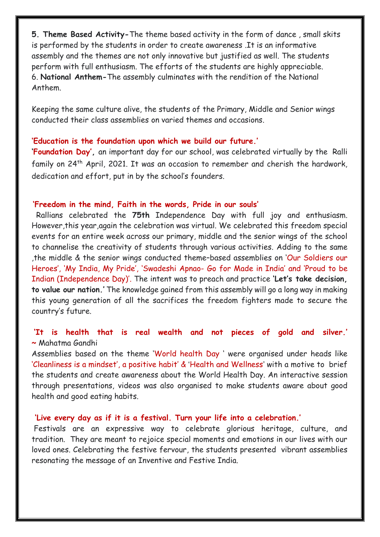**5. Theme Based Activity-**The theme based activity in the form of dance , small skits is performed by the students in order to create awareness .It is an informative assembly and the themes are not only innovative but justified as well. The students perform with full enthusiasm. The efforts of the students are highly appreciable. 6. **National Anthem-**The assembly culminates with the rendition of the National Anthem.

Keeping the same culture alive, the students of the Primary, Middle and Senior wings conducted their class assemblies on varied themes and occasions.

#### **'Education is the foundation upon which we build our future.'**

**'Foundation Day',** an important day for our school, was celebrated virtually by the Ralli family on 24<sup>th</sup> April, 2021. It was an occasion to remember and cherish the hardwork, dedication and effort, put in by the school's founders.

#### **'Freedom in the mind, Faith in the words, Pride in our souls'**

 Rallians celebrated the **75th** Independence Day with full joy and enthusiasm. However,this year,again the celebration was virtual. We celebrated this freedom special events for an entire week across our primary, middle and the senior wings of the school to channelise the creativity of students through various activities. Adding to the same ,the middle & the senior wings conducted theme–based assemblies on 'Our Soldiers our Heroes', 'My India, My Pride', 'Swadeshi Apnao- Go for Made in India' and 'Proud to be Indian (Independence Day)'. The intent was to preach and practice **'Let's take decision, to value our nation.'** The knowledge gained from this assembly will go a long way in making this young generation of all the sacrifices the freedom fighters made to secure the country's future.

#### **'It is health that is real wealth and not pieces of gold and silver.' ~** Mahatma Gandhi

Assemblies based on the theme 'World health Day ' were organised under heads like 'Cleanliness is a mindset', a positive habit' & 'Health and Wellness' with a motive to brief the students and create awareness about the World Health Day. An interactive session through presentations, videos was also organised to make students aware about good health and good eating habits.

#### **'Live every day as if it is a festival. Turn your life into a celebration.'**

Festivals are an expressive way to celebrate glorious heritage, culture, and tradition. They are meant to rejoice special moments and emotions in our lives with our loved ones. Celebrating the festive fervour, the students presented vibrant assemblies resonating the message of an Inventive and Festive India.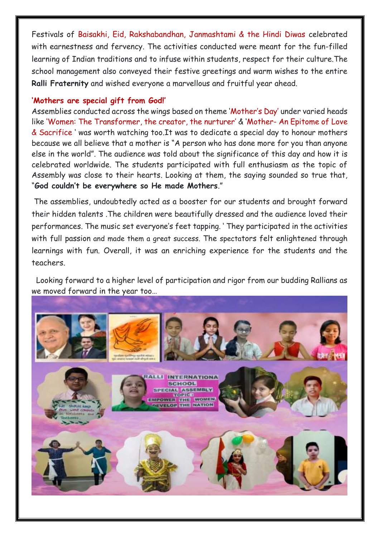Festivals of Baisakhi, Eid, Rakshabandhan, Janmashtami & the Hindi Diwas celebrated with earnestness and fervency. The activities conducted were meant for the fun-filled learning of Indian traditions and to infuse within students, respect for their culture.The school management also conveyed their festive greetings and warm wishes to the entire **Ralli Fraternity** and wished everyone a marvellous and fruitful year ahead.

#### **'Mothers are special gift from [God!](https://www.4to40.com/photo-gallery/hindu-gods-goddesses-images/)'**

Assemblies conducted across the wings based on theme 'Mother's Day' under varied heads like 'Women: The Transformer, the creator, the nurturer' & 'Mother- An Epitome of Love & Sacrifice ' was worth watching too.It was to dedicate a special day to honour mothers because we all believe that a mother is "A person who has done more for you than anyone else in the world". The audience was told about the significance of this day and how it is celebrated worldwide. The students participated with full enthusiasm as the topic of Assembly was close to their hearts. Looking at them, the saying sounded so true that, "**God couldn't be everywhere so He made Mothers**."

The assemblies, undoubtedly acted as a booster for our students and brought forward their hidden talents .The children were beautifully dressed and the audience loved their performances. The music set everyone's feet tapping. ' They participated in the activities with full passion and made them a great success. The spectators felt enlightened through learnings with fun. Overall, it was an enriching experience for the students and the teachers.

 Looking forward to a higher level of participation and rigor from our budding Rallians as we moved forward in the year too…

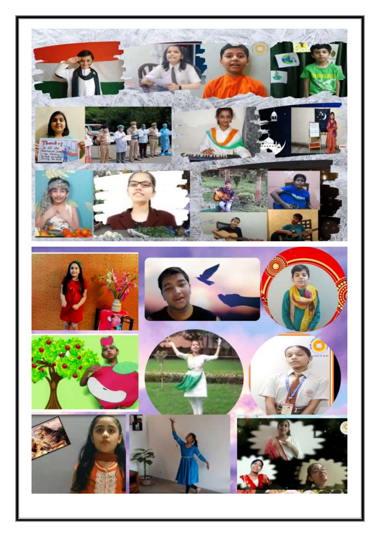